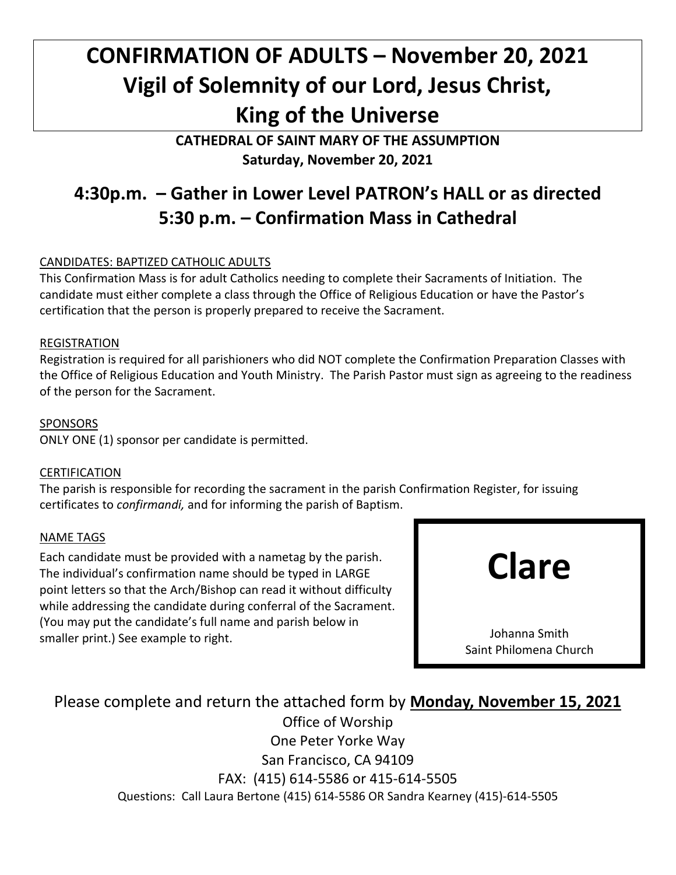# **CONFIRMATION OF ADULTS – November 20, 2021 Vigil of Solemnity of our Lord, Jesus Christ, King of the Universe**

**CATHEDRAL OF SAINT MARY OF THE ASSUMPTION Saturday, November 20, 2021**

## **4:30p.m. – Gather in Lower Level PATRON's HALL or as directed 5:30 p.m. – Confirmation Mass in Cathedral**

#### CANDIDATES: BAPTIZED CATHOLIC ADULTS

This Confirmation Mass is for adult Catholics needing to complete their Sacraments of Initiation. The candidate must either complete a class through the Office of Religious Education or have the Pastor's certification that the person is properly prepared to receive the Sacrament.

#### REGISTRATION

Registration is required for all parishioners who did NOT complete the Confirmation Preparation Classes with the Office of Religious Education and Youth Ministry. The Parish Pastor must sign as agreeing to the readiness of the person for the Sacrament.

#### SPONSORS

ONLY ONE (1) sponsor per candidate is permitted.

#### CERTIFICATION

The parish is responsible for recording the sacrament in the parish Confirmation Register, for issuing certificates to *confirmandi,* and for informing the parish of Baptism.

#### NAME TAGS

Each candidate must be provided with a nametag by the parish. The individual's confirmation name should be typed in LARGE point letters so that the Arch/Bishop can read it without difficulty while addressing the candidate during conferral of the Sacrament. (You may put the candidate's full name and parish below in smaller print.) See example to right.



Please complete and return the attached form by **Monday, November 15, 2021**

Office of Worship One Peter Yorke Way San Francisco, CA 94109 FAX: (415) 614-5586 or 415-614-5505 Questions: Call Laura Bertone (415) 614-5586 OR Sandra Kearney (415)-614-5505